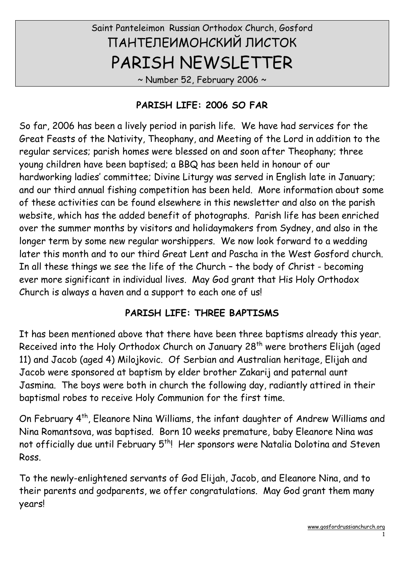# Saint Panteleimon Russian Orthodox Church, Gosford ПАНТЕЛЕИМОНСКИЙ ЛИСТОК PARISH NEWSLETTER

~ Number 52, February 2006 ~

### PARISH LIFE: 2006 SO FAR

So far, 2006 has been a lively period in parish life. We have had services for the Great Feasts of the Nativity, Theophany, and Meeting of the Lord in addition to the regular services; parish homes were blessed on and soon after Theophany; three young children have been baptised; a BBQ has been held in honour of our hardworking ladies' committee; Divine Liturgy was served in English late in January; and our third annual fishing competition has been held. More information about some of these activities can be found elsewhere in this newsletter and also on the parish website, which has the added benefit of photographs. Parish life has been enriched over the summer months by visitors and holidaymakers from Sydney, and also in the longer term by some new regular worshippers. We now look forward to a wedding later this month and to our third Great Lent and Pascha in the West Gosford church. In all these things we see the life of the Church – the body of Christ - becoming ever more significant in individual lives. May God grant that His Holy Orthodox Church is always a haven and a support to each one of us!

### PARISH LIFE: THREE BAPTISMS

It has been mentioned above that there have been three baptisms already this year. Received into the Holy Orthodox Church on January 28<sup>th</sup> were brothers Elijah (aged 11) and Jacob (aged 4) Milojkovic. Of Serbian and Australian heritage, Elijah and Jacob were sponsored at baptism by elder brother Zakarij and paternal aunt Jasmina. The boys were both in church the following day, radiantly attired in their baptismal robes to receive Holy Communion for the first time.

On February 4th, Eleanore Nina Williams, the infant daughter of Andrew Williams and Nina Romantsova, was baptised. Born 10 weeks premature, baby Eleanore Nina was not officially due until February 5<sup>th</sup>! Her sponsors were Natalia Dolotina and Steven Ross.

To the newly-enlightened servants of God Elijah, Jacob, and Eleanore Nina, and to their parents and godparents, we offer congratulations. May God grant them many years!

1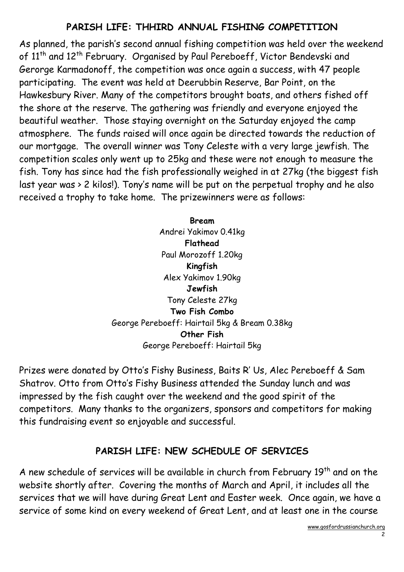### PARISH LIFE: THHIRD ANNUAL FISHING COMPETITION

As planned, the parish's second annual fishing competition was held over the weekend of 11<sup>th</sup> and 12<sup>th</sup> February. Organised by Paul Pereboeff, Victor Bendevski and Gerorge Karmadonoff, the competition was once again a success, with 47 people participating. The event was held at Deerubbin Reserve, Bar Point, on the Hawkesbury River. Many of the competitors brought boats, and others fished off the shore at the reserve. The gathering was friendly and everyone enjoyed the beautiful weather. Those staying overnight on the Saturday enjoyed the camp atmosphere. The funds raised will once again be directed towards the reduction of our mortgage. The overall winner was Tony Celeste with a very large jewfish. The competition scales only went up to 25kg and these were not enough to measure the fish. Tony has since had the fish professionally weighed in at 27kg (the biggest fish last year was > 2 kilos!). Tony's name will be put on the perpetual trophy and he also received a trophy to take home. The prizewinners were as follows:

> Bream Andrei Yakimov 0.41kg Flathead Paul Morozoff 1.20kg Kingfish Alex Yakimov 1.90kg Jewfish Tony Celeste 27kg Two Fish Combo George Pereboeff: Hairtail 5kg & Bream 0.38kg Other Fish George Pereboeff: Hairtail 5kg

Prizes were donated by Otto's Fishy Business, Baits R' Us, Alec Pereboeff & Sam Shatrov. Otto from Otto's Fishy Business attended the Sunday lunch and was impressed by the fish caught over the weekend and the good spirit of the competitors. Many thanks to the organizers, sponsors and competitors for making this fundraising event so enjoyable and successful.

### PARISH LIFE: NEW SCHEDULE OF SERVICES

A new schedule of services will be available in church from February  $19<sup>th</sup>$  and on the website shortly after. Covering the months of March and April, it includes all the services that we will have during Great Lent and Easter week. Once again, we have a service of some kind on every weekend of Great Lent, and at least one in the course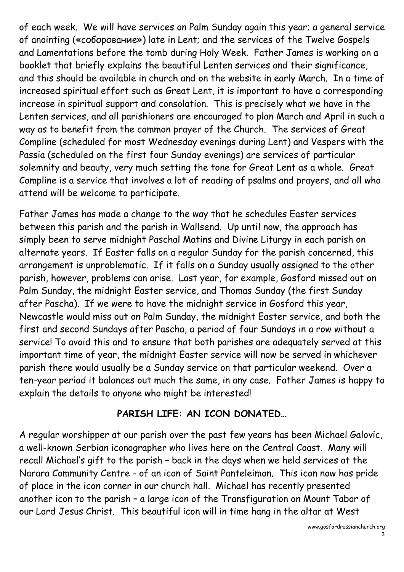of each week. We will have services on Palm Sunday again this year; a general service of anointing («соборование») late in Lent; and the services of the Twelve Gospels and Lamentations before the tomb during Holy Week. Father James is working on a booklet that briefly explains the beautiful Lenten services and their significance, and this should be available in church and on the website in early March. In a time of increased spiritual effort such as Great Lent, it is important to have a corresponding increase in spiritual support and consolation. This is precisely what we have in the Lenten services, and all parishioners are encouraged to plan March and April in such a way as to benefit from the common prayer of the Church. The services of Great Compline (scheduled for most Wednesday evenings during Lent) and Vespers with the Passia (scheduled on the first four Sunday evenings) are services of particular solemnity and beauty, very much setting the tone for Great Lent as a whole. Great Compline is a service that involves a lot of reading of psalms and prayers, and all who attend will be welcome to participate.

Father James has made a change to the way that he schedules Easter services between this parish and the parish in Wallsend. Up until now, the approach has simply been to serve midnight Paschal Matins and Divine Liturgy in each parish on alternate years. If Easter falls on a regular Sunday for the parish concerned, this arrangement is unproblematic. If it falls on a Sunday usually assigned to the other parish, however, problems can arise. Last year, for example, Gosford missed out on Palm Sunday, the midnight Easter service, and Thomas Sunday (the first Sunday after Pascha). If we were to have the midnight service in Gosford this year, Newcastle would miss out on Palm Sunday, the midnight Easter service, and both the first and second Sundays after Pascha, a period of four Sundays in a row without a service! To avoid this and to ensure that both parishes are adequately served at this important time of year, the midnight Easter service will now be served in whichever parish there would usually be a Sunday service on that particular weekend. Over a ten-year period it balances out much the same, in any case. Father James is happy to explain the details to anyone who might be interested!

### PARISH LIFE: AN ICON DONATED…

A regular worshipper at our parish over the past few years has been Michael Galovic, a well-known Serbian iconographer who lives here on the Central Coast. Many will recall Michael's gift to the parish – back in the days when we held services at the Narara Community Centre - of an icon of Saint Panteleimon. This icon now has pride of place in the icon corner in our church hall. Michael has recently presented another icon to the parish – a large icon of the Transfiguration on Mount Tabor of our Lord Jesus Christ. This beautiful icon will in time hang in the altar at West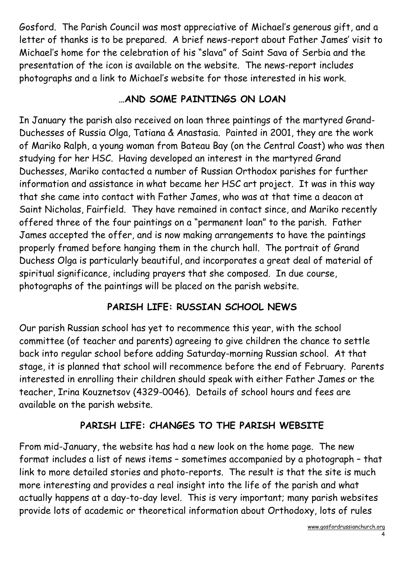Gosford. The Parish Council was most appreciative of Michael's generous gift, and a letter of thanks is to be prepared. A brief news-report about Father James' visit to Michael's home for the celebration of his "slava" of Saint Sava of Serbia and the presentation of the icon is available on the website. The news-report includes photographs and a link to Michael's website for those interested in his work.

# …AND SOME PAINTINGS ON LOAN

In January the parish also received on loan three paintings of the martyred Grand-Duchesses of Russia Olga, Tatiana & Anastasia. Painted in 2001, they are the work of Mariko Ralph, a young woman from Bateau Bay (on the Central Coast) who was then studying for her HSC. Having developed an interest in the martyred Grand Duchesses, Mariko contacted a number of Russian Orthodox parishes for further information and assistance in what became her HSC art project. It was in this way that she came into contact with Father James, who was at that time a deacon at Saint Nicholas, Fairfield. They have remained in contact since, and Mariko recently offered three of the four paintings on a "permanent loan" to the parish. Father James accepted the offer, and is now making arrangements to have the paintings properly framed before hanging them in the church hall. The portrait of Grand Duchess Olga is particularly beautiful, and incorporates a great deal of material of spiritual significance, including prayers that she composed. In due course, photographs of the paintings will be placed on the parish website.

# PARISH LIFE: RUSSIAN SCHOOL NEWS

Our parish Russian school has yet to recommence this year, with the school committee (of teacher and parents) agreeing to give children the chance to settle back into regular school before adding Saturday-morning Russian school. At that stage, it is planned that school will recommence before the end of February. Parents interested in enrolling their children should speak with either Father James or the teacher, Irina Kouznetsov (4329-0046). Details of school hours and fees are available on the parish website.

# PARISH LIFE: CHANGES TO THE PARISH WEBSITE

From mid-January, the website has had a new look on the home page. The new format includes a list of news items – sometimes accompanied by a photograph – that link to more detailed stories and photo-reports. The result is that the site is much more interesting and provides a real insight into the life of the parish and what actually happens at a day-to-day level. This is very important; many parish websites provide lots of academic or theoretical information about Orthodoxy, lots of rules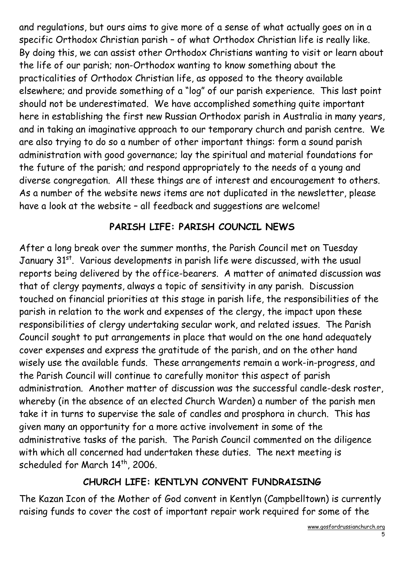and regulations, but ours aims to give more of a sense of what actually goes on in a specific Orthodox Christian parish – of what Orthodox Christian life is really like. By doing this, we can assist other Orthodox Christians wanting to visit or learn about the life of our parish; non-Orthodox wanting to know something about the practicalities of Orthodox Christian life, as opposed to the theory available elsewhere; and provide something of a "log" of our parish experience. This last point should not be underestimated. We have accomplished something quite important here in establishing the first new Russian Orthodox parish in Australia in many years, and in taking an imaginative approach to our temporary church and parish centre. We are also trying to do so a number of other important things: form a sound parish administration with good governance; lay the spiritual and material foundations for the future of the parish; and respond appropriately to the needs of a young and diverse congregation. All these things are of interest and encouragement to others. As a number of the website news items are not duplicated in the newsletter, please have a look at the website – all feedback and suggestions are welcome!

### PARISH LIFE: PARISH COUNCIL NEWS

After a long break over the summer months, the Parish Council met on Tuesday January 31<sup>st</sup>. Various developments in parish life were discussed, with the usual reports being delivered by the office-bearers. A matter of animated discussion was that of clergy payments, always a topic of sensitivity in any parish. Discussion touched on financial priorities at this stage in parish life, the responsibilities of the parish in relation to the work and expenses of the clergy, the impact upon these responsibilities of clergy undertaking secular work, and related issues. The Parish Council sought to put arrangements in place that would on the one hand adequately cover expenses and express the gratitude of the parish, and on the other hand wisely use the available funds. These arrangements remain a work-in-progress, and the Parish Council will continue to carefully monitor this aspect of parish administration. Another matter of discussion was the successful candle-desk roster, whereby (in the absence of an elected Church Warden) a number of the parish men take it in turns to supervise the sale of candles and prosphora in church. This has given many an opportunity for a more active involvement in some of the administrative tasks of the parish. The Parish Council commented on the diligence with which all concerned had undertaken these duties. The next meeting is scheduled for March 14<sup>th</sup>, 2006.

### CHURCH LIFE: KENTLYN CONVENT FUNDRAISING

The Kazan Icon of the Mother of God convent in Kentlyn (Campbelltown) is currently raising funds to cover the cost of important repair work required for some of the

5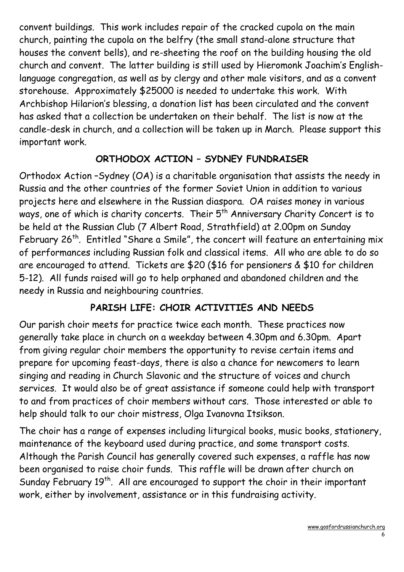convent buildings. This work includes repair of the cracked cupola on the main church, painting the cupola on the belfry (the small stand-alone structure that houses the convent bells), and re-sheeting the roof on the building housing the old church and convent. The latter building is still used by Hieromonk Joachim's Englishlanguage congregation, as well as by clergy and other male visitors, and as a convent storehouse. Approximately \$25000 is needed to undertake this work. With Archbishop Hilarion's blessing, a donation list has been circulated and the convent has asked that a collection be undertaken on their behalf. The list is now at the candle-desk in church, and a collection will be taken up in March. Please support this important work.

### ORTHODOX ACTION – SYDNEY FUNDRAISER

Orthodox Action –Sydney (OA) is a charitable organisation that assists the needy in Russia and the other countries of the former Soviet Union in addition to various projects here and elsewhere in the Russian diaspora. OA raises money in various ways, one of which is charity concerts. Their 5<sup>th</sup> Anniversary Charity Concert is to be held at the Russian Club (7 Albert Road, Strathfield) at 2.00pm on Sunday February 26<sup>th</sup>. Entitled "Share a Smile", the concert will feature an entertaining mix of performances including Russian folk and classical items. All who are able to do so are encouraged to attend. Tickets are \$20 (\$16 for pensioners & \$10 for children 5-12). All funds raised will go to help orphaned and abandoned children and the needy in Russia and neighbouring countries.

# PARISH LIFE: CHOIR ACTIVITIES AND NEEDS

Our parish choir meets for practice twice each month. These practices now generally take place in church on a weekday between 4.30pm and 6.30pm. Apart from giving regular choir members the opportunity to revise certain items and prepare for upcoming feast-days, there is also a chance for newcomers to learn singing and reading in Church Slavonic and the structure of voices and church services. It would also be of great assistance if someone could help with transport to and from practices of choir members without cars. Those interested or able to help should talk to our choir mistress, Olga Ivanovna Itsikson.

The choir has a range of expenses including liturgical books, music books, stationery, maintenance of the keyboard used during practice, and some transport costs. Although the Parish Council has generally covered such expenses, a raffle has now been organised to raise choir funds. This raffle will be drawn after church on Sunday February 19<sup>th</sup>. All are encouraged to support the choir in their important work, either by involvement, assistance or in this fundraising activity.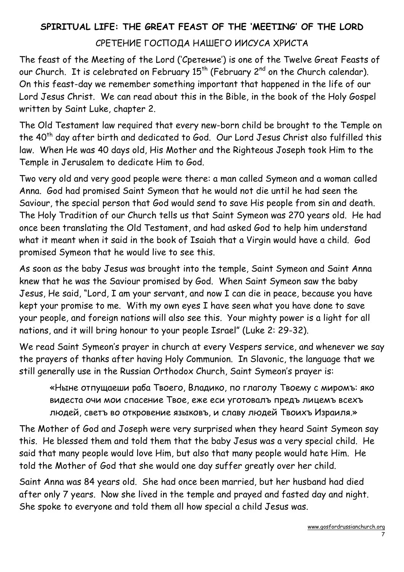# SPIRITUAL LIFE: THE GREAT FEAST OF THE 'MEETING' OF THE LORD

### СРЕТЕНИЕ ГОСПОДА НАШЕГО ИИСУСА ХРИСТА

The feast of the Meeting of the Lord ('Сретение') is one of the Twelve Great Feasts of our Church. It is celebrated on February  $15<sup>th</sup>$  (February  $2<sup>nd</sup>$  on the Church calendar). On this feast-day we remember something important that happened in the life of our Lord Jesus Christ. We can read about this in the Bible, in the book of the Holy Gospel written by Saint Luke, chapter 2.

The Old Testament law required that every new-born child be brought to the Temple on the 40<sup>th</sup> day after birth and dedicated to God. Our Lord Jesus Christ also fulfilled this law. When He was 40 days old, His Mother and the Righteous Joseph took Him to the Temple in Jerusalem to dedicate Him to God.

Two very old and very good people were there: a man called Symeon and a woman called Anna. God had promised Saint Symeon that he would not die until he had seen the Saviour, the special person that God would send to save His people from sin and death. The Holy Tradition of our Church tells us that Saint Symeon was 270 years old. He had once been translating the Old Testament, and had asked God to help him understand what it meant when it said in the book of Isaiah that a Virgin would have a child. God promised Symeon that he would live to see this.

As soon as the baby Jesus was brought into the temple, Saint Symeon and Saint Anna knew that he was the Saviour promised by God. When Saint Symeon saw the baby Jesus, He said, "Lord, I am your servant, and now I can die in peace, because you have kept your promise to me. With my own eyes I have seen what you have done to save your people, and foreign nations will also see this. Your mighty power is a light for all nations, and it will bring honour to your people Israel" (Luke 2: 29-32).

We read Saint Symeon's prayer in church at every Vespers service, and whenever we say the prayers of thanks after having Holy Communion. In Slavonic, the language that we still generally use in the Russian Orthodox Church, Saint Symeon's prayer is:

«Ныне отпущаеши раба Твоего, Владико, по глаголу Твоему с миромъ: яко видеста очи мои спасение Твое, еже еси уготовалъ предъ лицемъ всехъ людей, светъ во откровение языковъ, и славу людей Твоихъ Израиля.»

The Mother of God and Joseph were very surprised when they heard Saint Symeon say this. He blessed them and told them that the baby Jesus was a very special child. He said that many people would love Him, but also that many people would hate Him. He told the Mother of God that she would one day suffer greatly over her child.

Saint Anna was 84 years old. She had once been married, but her husband had died after only 7 years. Now she lived in the temple and prayed and fasted day and night. She spoke to everyone and told them all how special a child Jesus was.